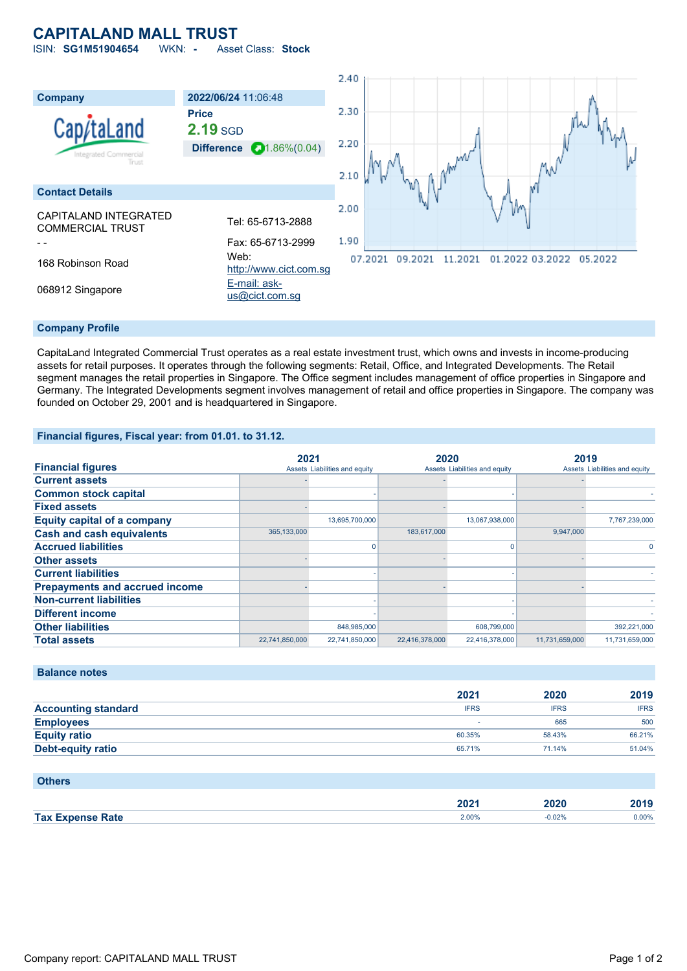# **CAPITALAND MALL TRUST**

ISIN: **SG1M51904654** WKN: **-** Asset Class: **Stock**



### **Company Profile**

CapitaLand Integrated Commercial Trust operates as a real estate investment trust, which owns and invests in income-producing assets for retail purposes. It operates through the following segments: Retail, Office, and Integrated Developments. The Retail segment manages the retail properties in Singapore. The Office segment includes management of office properties in Singapore and Germany. The Integrated Developments segment involves management of retail and office properties in Singapore. The company was founded on October 29, 2001 and is headquartered in Singapore.

## **Financial figures, Fiscal year: from 01.01. to 31.12.**

|                                       |                | 2021                          | 2020           |                               | 2019           |                               |  |
|---------------------------------------|----------------|-------------------------------|----------------|-------------------------------|----------------|-------------------------------|--|
| <b>Financial figures</b>              |                | Assets Liabilities and equity |                | Assets Liabilities and equity |                | Assets Liabilities and equity |  |
| <b>Current assets</b>                 |                |                               |                |                               |                |                               |  |
| <b>Common stock capital</b>           |                |                               |                |                               |                |                               |  |
| <b>Fixed assets</b>                   |                |                               |                |                               |                |                               |  |
| <b>Equity capital of a company</b>    |                | 13,695,700,000                |                | 13,067,938,000                |                | 7,767,239,000                 |  |
| <b>Cash and cash equivalents</b>      | 365,133,000    |                               | 183,617,000    |                               | 9,947,000      |                               |  |
| <b>Accrued liabilities</b>            |                |                               |                |                               |                |                               |  |
| <b>Other assets</b>                   |                |                               |                |                               |                |                               |  |
| <b>Current liabilities</b>            |                |                               |                |                               |                |                               |  |
| <b>Prepayments and accrued income</b> |                |                               |                |                               |                |                               |  |
| <b>Non-current liabilities</b>        |                |                               |                |                               |                |                               |  |
| <b>Different income</b>               |                |                               |                |                               |                |                               |  |
| <b>Other liabilities</b>              |                | 848,985,000                   |                | 608,799,000                   |                | 392,221,000                   |  |
| <b>Total assets</b>                   | 22,741,850,000 | 22,741,850,000                | 22,416,378,000 | 22,416,378,000                | 11,731,659,000 | 11,731,659,000                |  |

#### **Balance notes**

|                            | 2021        | 2020        | 2019        |
|----------------------------|-------------|-------------|-------------|
| <b>Accounting standard</b> | <b>IFRS</b> | <b>IFRS</b> | <b>IFRS</b> |
| <b>Employees</b>           |             | 665         | 500         |
| <b>Equity ratio</b>        | 60.35%      | 58.43%      | 66.21%      |
| <b>Debt-equity ratio</b>   | 65.71%      | 71.14%      | 51.04%      |

| <b>Others</b>           |       |          |       |
|-------------------------|-------|----------|-------|
|                         | 2021  | 2020     | 2019  |
| <b>Tax Expense Rate</b> | 2.00% | $-0.02%$ | 0.00% |